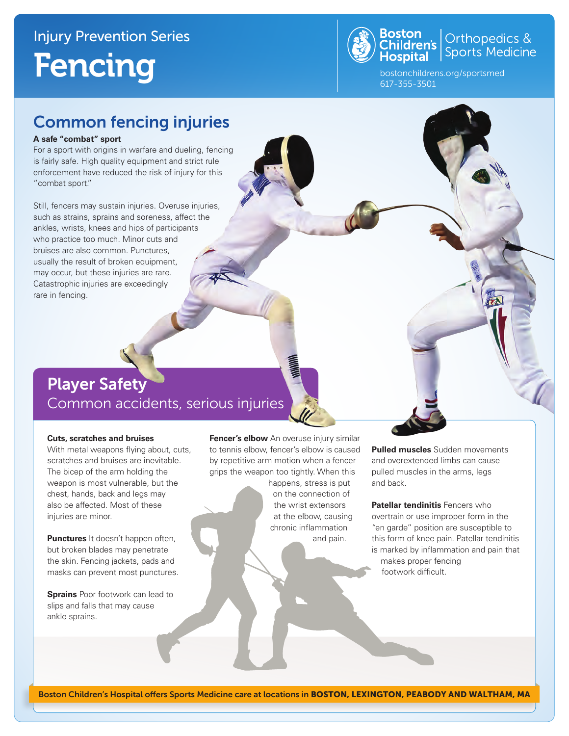# Injury Prevention Series Fencing



**Boston**<br>Children's Sports Medicine<br>**Hospital** Sports Medicine

bostonchildrens.org/sportsmed 617-355-3501

## Common fencing injuries

#### **A safe "combat" sport**

For a sport with origins in warfare and dueling, fencing is fairly safe. High quality equipment and strict rule enforcement have reduced the risk of injury for this "combat sport."

Still, fencers may sustain injuries. Overuse injuries, such as strains, sprains and soreness, affect the ankles, wrists, knees and hips of participants who practice too much. Minor cuts and bruises are also common. Punctures, usually the result of broken equipment, may occur, but these injuries are rare. Catastrophic injuries are exceedingly rare in fencing.

## Player Safety Common accidents, serious injuries

#### **Cuts, scratches and bruises**

With metal weapons flying about, cuts, scratches and bruises are inevitable. The bicep of the arm holding the weapon is most vulnerable, but the chest, hands, back and legs may also be affected. Most of these injuries are minor.

**Punctures** It doesn't happen often, but broken blades may penetrate the skin. Fencing jackets, pads and masks can prevent most punctures.

**Sprains** Poor footwork can lead to slips and falls that may cause ankle sprains.

**Fencer's elbow** An overuse injury similar to tennis elbow, fencer's elbow is caused by repetitive arm motion when a fencer grips the weapon too tightly. When this

> happens, stress is put on the connection of the wrist extensors at the elbow, causing chronic inflammation and pain.

**Pulled muscles** Sudden movements and overextended limbs can cause pulled muscles in the arms, legs and back.

**Patellar tendinitis** Fencers who overtrain or use improper form in the "en garde" position are susceptible to this form of knee pain. Patellar tendinitis is marked by inflammation and pain that makes proper fencing footwork difficult.

Boston Children's Hospital offers Sports Medicine care at locations in BOSTON, LEXINGTON, PEABODY AND WALTHAM, MA